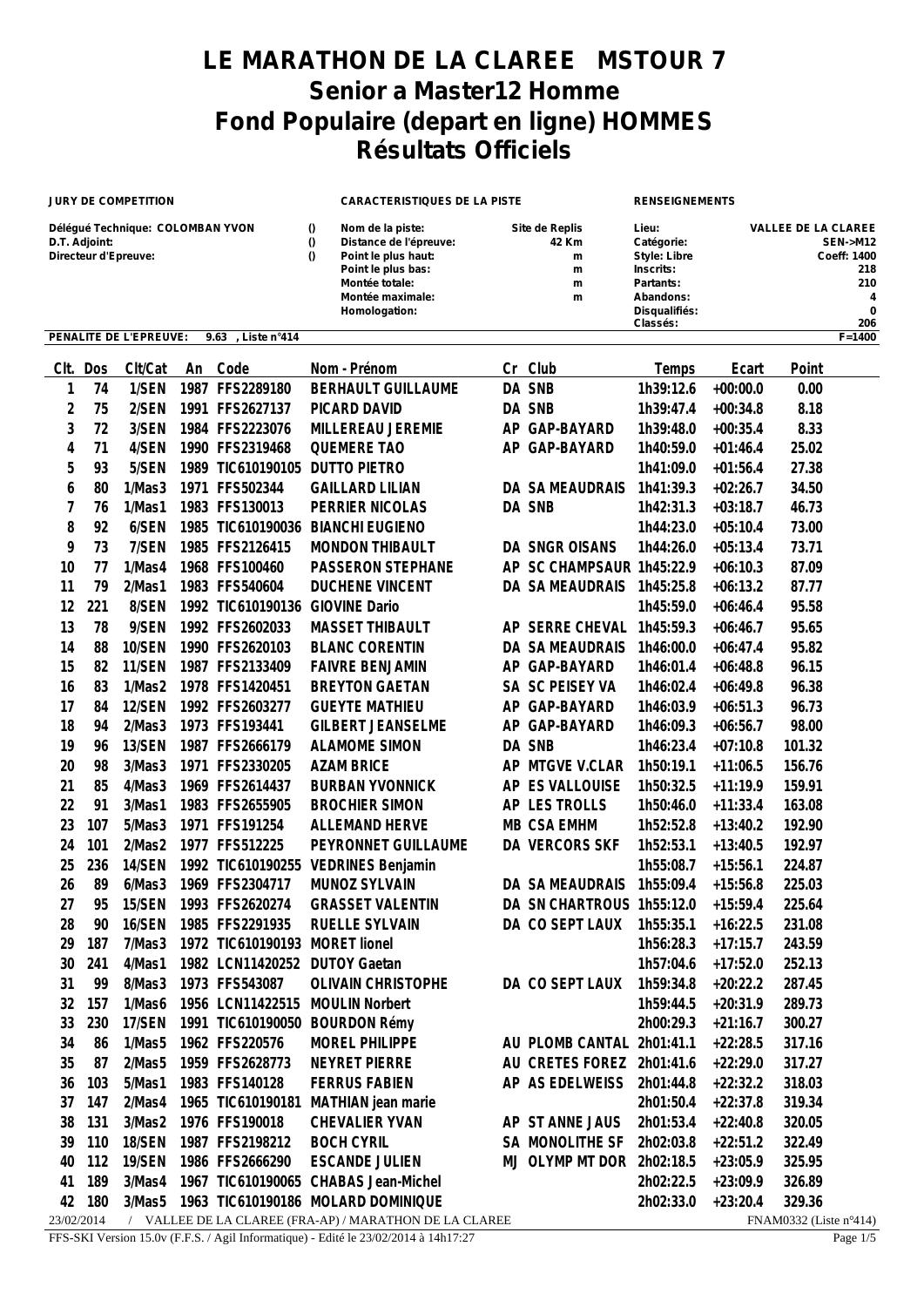## **LE MARATHON DE LA CLAREE MSTOUR 7 Senior a Master12 Homme Fond Populaire (depart en ligne) HOMMES Résultats Officiels**

| <b>JURY DE COMPETITION</b>                                                |     |                        |      |                                | <b>CARACTERISTIQUES DE LA PISTE</b> |                                                                                                                                                |    |                                                    | <b>RENSEIGNEMENTS</b>                                                                                          |            |                                                                                                |  |
|---------------------------------------------------------------------------|-----|------------------------|------|--------------------------------|-------------------------------------|------------------------------------------------------------------------------------------------------------------------------------------------|----|----------------------------------------------------|----------------------------------------------------------------------------------------------------------------|------------|------------------------------------------------------------------------------------------------|--|
| Délégué Technique: COLOMBAN YVON<br>D.T. Adjoint:<br>Directeur d'Epreuve: |     |                        |      |                                |                                     | Nom de la piste:<br>Distance de l'épreuve:<br>Point le plus haut:<br>Point le plus bas:<br>Montée totale:<br>Montée maximale:<br>Homologation: |    | <b>Site de Replis</b><br>42 Km<br>m<br>m<br>m<br>m | Lieu:<br>Catégorie:<br><b>Style: Libre</b><br>Inscrits:<br>Partants:<br>Abandons:<br>Disqualifiés:<br>Classés: |            | <b>VALLEE DE LA CLAREE</b><br><b>SEN-&gt;M12</b><br>Coeff: 1400<br>218<br>210<br>4<br>0<br>206 |  |
|                                                                           |     | PENALITE DE L'EPREUVE: |      | Liste n°414<br>9.63            |                                     |                                                                                                                                                |    |                                                    |                                                                                                                |            | $F = 1400$                                                                                     |  |
| CIt.                                                                      | Dos | Clt/Cat                | An   | Code                           |                                     | Nom - Prénom                                                                                                                                   | Cr | Club                                               | Temps                                                                                                          | Ecart      | Point                                                                                          |  |
| 1                                                                         | 74  | 1/SEN                  | 1987 | FFS2289180                     |                                     | <b>BERHAULT GUILLAUME</b>                                                                                                                      |    | DA SNB                                             | 1h39:12.6                                                                                                      | $+00:00.0$ | 0.00                                                                                           |  |
| 2                                                                         | 75  | 2/SEN                  | 1991 | FFS2627137                     |                                     | PICARD DAVID                                                                                                                                   |    | DA SNB                                             | 1h39:47.4                                                                                                      | $+00:34.8$ | 8.18                                                                                           |  |
| 3                                                                         | 72  | 3/SEN                  |      | 1984 FFS2223076                |                                     | MILLEREAU JEREMIE                                                                                                                              | AP | GAP-BAYARD                                         | 1h39:48.0                                                                                                      | $+00:35.4$ | 8.33                                                                                           |  |
| 4                                                                         | 71  | 4/SEN                  |      | 1990 FFS2319468                |                                     | <b>QUEMERE TAO</b>                                                                                                                             | ΑP | GAP-BAYARD                                         | 1h40:59.0                                                                                                      | $+01:46.4$ | 25.02                                                                                          |  |
| 5                                                                         | 93  | 5/SEN                  | 1989 | TIC610190105                   |                                     | <b>DUTTO PIETRO</b>                                                                                                                            |    |                                                    | 1h41:09.0                                                                                                      | $+01:56.4$ | 27.38                                                                                          |  |
| 6                                                                         | 80  | 1/Mas3                 | 1971 | FFS502344                      |                                     | <b>GAILLARD LILIAN</b>                                                                                                                         |    | DA SA MEAUDRAIS                                    | 1h41:39.3                                                                                                      | $+02:26.7$ | 34.50                                                                                          |  |
| 7                                                                         | 76  | 1/Mas1                 |      | 1983 FFS130013                 |                                     | PERRIER NICOLAS                                                                                                                                |    | DA SNB                                             | 1h42:31.3                                                                                                      | $+03:18.7$ | 46.73                                                                                          |  |
| 8                                                                         | 92  | 6/SEN                  |      | 1985 TIC610190036              |                                     | <b>BIANCHI EUGIENO</b>                                                                                                                         |    |                                                    | 1h44:23.0                                                                                                      | $+05:10.4$ | 73.00                                                                                          |  |
| 9                                                                         | 73  | 7/SEN                  |      | 1985 FFS2126415                |                                     | <b>MONDON THIBAULT</b>                                                                                                                         |    | DA SNGR OISANS                                     | 1h44:26.0                                                                                                      | $+05:13.4$ | 73.71                                                                                          |  |
| 10                                                                        | 77  | 1/Mas4                 |      | 1968 FFS100460                 |                                     | PASSERON STEPHANE                                                                                                                              | AP | SC CHAMPSAUR 1h45:22.9                             |                                                                                                                | $+06:10.3$ | 87.09                                                                                          |  |
| 11                                                                        | 79  | 2/Mas1                 |      | 1983 FFS540604                 |                                     | <b>DUCHENE VINCENT</b>                                                                                                                         |    | DA SA MEAUDRAIS                                    | 1h45:25.8                                                                                                      | $+06:13.2$ | 87.77                                                                                          |  |
| 12                                                                        | 221 | 8/SEN                  |      | 1992 TIC610190136              |                                     | <b>GIOVINE Dario</b>                                                                                                                           |    |                                                    | 1h45:59.0                                                                                                      | $+06:46.4$ | 95.58                                                                                          |  |
| 13                                                                        | 78  | 9/SEN                  |      | 1992 FFS2602033                |                                     | <b>MASSET THIBAULT</b>                                                                                                                         |    | AP SERRE CHEVAL                                    | 1h45:59.3                                                                                                      | $+06:46.7$ | 95.65                                                                                          |  |
| 14                                                                        | 88  | 10/SEN                 |      | 1990 FFS2620103                |                                     | <b>BLANC CORENTIN</b>                                                                                                                          |    | DA SA MEAUDRAIS                                    | 1h46:00.0                                                                                                      | $+06:47.4$ | 95.82                                                                                          |  |
| 15                                                                        | 82  | 11/SEN                 |      | 1987 FFS2133409                |                                     | <b>FAIVRE BENJAMIN</b>                                                                                                                         | AP | GAP-BAYARD                                         | 1h46:01.4                                                                                                      | $+06:48.8$ | 96.15                                                                                          |  |
| 16                                                                        | 83  | 1/Mas2                 |      | 1978 FFS1420451                |                                     | <b>BREYTON GAETAN</b>                                                                                                                          |    | SA SC PEISEY VA                                    | 1h46:02.4                                                                                                      | $+06:49.8$ | 96.38                                                                                          |  |
| 17                                                                        | 84  | 12/SEN                 |      | 1992 FFS2603277                |                                     | <b>GUEYTE MATHIEU</b>                                                                                                                          | ΑP | GAP-BAYARD                                         | 1h46:03.9                                                                                                      | $+06:51.3$ | 96.73                                                                                          |  |
| 18                                                                        | 94  | 2/Mas3                 |      | 1973 FFS193441                 |                                     | <b>GILBERT JEANSELME</b>                                                                                                                       | ΑP | GAP-BAYARD                                         | 1h46:09.3                                                                                                      | $+06:56.7$ | 98.00                                                                                          |  |
| 19                                                                        | 96  | 13/SEN                 |      | 1987 FFS2666179                |                                     | <b>ALAMOME SIMON</b>                                                                                                                           |    | DA SNB                                             | 1h46:23.4                                                                                                      | $+07:10.8$ | 101.32                                                                                         |  |
| 20                                                                        | 98  | 3/Mas3                 | 1971 | FFS2330205                     |                                     | <b>AZAM BRICE</b>                                                                                                                              | АP | MTGVE V.CLAR                                       | 1h50:19.1                                                                                                      | $+11:06.5$ | 156.76                                                                                         |  |
| 21                                                                        | 85  | 4/Mas3                 | 1969 | FFS2614437                     |                                     | <b>BURBAN YVONNICK</b>                                                                                                                         | AP | <b>ES VALLOUISE</b>                                | 1h50:32.5                                                                                                      | $+11:19.9$ | 159.91                                                                                         |  |
| 22                                                                        | 91  | 3/Mas1                 |      | 1983 FFS2655905                |                                     | <b>BROCHIER SIMON</b>                                                                                                                          |    | AP LES TROLLS                                      | 1h50:46.0                                                                                                      | $+11:33.4$ | 163.08                                                                                         |  |
| 23                                                                        | 107 | 5/Mas3                 |      | 1971 FFS191254                 |                                     | <b>ALLEMAND HERVE</b>                                                                                                                          |    | MB CSA EMHM                                        | 1h52:52.8                                                                                                      | $+13:40.2$ | 192.90                                                                                         |  |
| 24                                                                        | 101 | 2/Mas2                 |      | 1977 FFS512225                 |                                     | PEYRONNET GUILLAUME                                                                                                                            |    | DA VERCORS SKF                                     | 1h52:53.1                                                                                                      | $+13:40.5$ | 192.97                                                                                         |  |
| 25                                                                        | 236 | 14/SEN                 |      | 1992 TIC610190255              |                                     | <b>VEDRINES Benjamin</b>                                                                                                                       |    |                                                    | 1h55:08.7                                                                                                      | $+15:56.1$ | 224.87                                                                                         |  |
| 26                                                                        | 89  | 6/Mas3                 |      | 1969 FFS2304717                |                                     | MUNOZ SYLVAIN                                                                                                                                  |    | DA SA MEAUDRAIS 1h55:09.4                          |                                                                                                                | $+15:56.8$ | 225.03                                                                                         |  |
| 27                                                                        | 95  | 15/SEN                 |      | 1993 FFS2620274                |                                     | <b>GRASSET VALENTIN</b>                                                                                                                        |    | DA SN CHARTROUS 1h55:12.0                          |                                                                                                                | $+15:59.4$ | 225.64                                                                                         |  |
| 28                                                                        | 90  | 16/SEN                 |      | 1985 FFS2291935                |                                     | RUELLE SYLVAIN                                                                                                                                 |    | DA CO SEPT LAUX                                    | 1h55:35.1                                                                                                      | $+16:22.5$ | 231.08                                                                                         |  |
| 29                                                                        | 187 | 7/Mas3                 |      | 1972 TIC610190193 MORET lionel |                                     |                                                                                                                                                |    |                                                    | 1h56:28.3                                                                                                      | $+17:15.7$ | 243.59                                                                                         |  |
| 30                                                                        | 241 | 4/Mas1                 |      | 1982 LCN11420252 DUTOY Gaetan  |                                     |                                                                                                                                                |    |                                                    | 1h57:04.6                                                                                                      | $+17:52.0$ | 252.13                                                                                         |  |
| 31                                                                        | 99  | 8/Mas3                 |      | 1973 FFS543087                 |                                     | <b>OLIVAIN CHRISTOPHE</b>                                                                                                                      |    | DA CO SEPT LAUX                                    | 1h59:34.8                                                                                                      | $+20:22.2$ | 287.45                                                                                         |  |
| 32                                                                        | 157 | 1/Mas6                 |      | 1956 LCN11422515               |                                     | <b>MOULIN Norbert</b>                                                                                                                          |    |                                                    | 1h59:44.5                                                                                                      | $+20:31.9$ | 289.73                                                                                         |  |
| 33                                                                        | 230 | 17/SEN                 |      | 1991 TIC610190050 BOURDON Rémy |                                     |                                                                                                                                                |    |                                                    | 2h00:29.3                                                                                                      | $+21:16.7$ | 300.27                                                                                         |  |
| 34                                                                        | 86  | 1/Mas5                 |      | 1962 FFS220576                 |                                     | MOREL PHILIPPE                                                                                                                                 |    | AU PLOMB CANTAL 2h01:41.1                          |                                                                                                                | $+22:28.5$ | 317.16                                                                                         |  |
| 35                                                                        | 87  | 2/Mas5                 |      | 1959 FFS2628773                |                                     | NEYRET PIERRE                                                                                                                                  |    | AU CRETES FOREZ 2h01:41.6                          |                                                                                                                | $+22:29.0$ | 317.27                                                                                         |  |
| 36                                                                        | 103 | 5/Mas1                 |      | 1983 FFS140128                 |                                     | <b>FERRUS FABIEN</b>                                                                                                                           |    | AP AS EDELWEISS                                    | 2h01:44.8                                                                                                      | $+22:32.2$ | 318.03                                                                                         |  |
| 37                                                                        | 147 | 2/Mas4                 |      | 1965 TIC610190181              |                                     | MATHIAN jean marie                                                                                                                             |    |                                                    | 2h01:50.4                                                                                                      | $+22:37.8$ | 319.34                                                                                         |  |
| 38                                                                        | 131 | 3/Mas2                 |      | 1976 FFS190018                 |                                     | CHEVALIER YVAN                                                                                                                                 |    | AP ST ANNE JAUS                                    | 2h01:53.4                                                                                                      | $+22:40.8$ | 320.05                                                                                         |  |
| 39                                                                        | 110 | 18/SEN                 |      | 1987 FFS2198212                |                                     | <b>BOCH CYRIL</b>                                                                                                                              |    | SA MONOLITHE SF 2h02:03.8                          |                                                                                                                | $+22:51.2$ | 322.49                                                                                         |  |
| 40                                                                        | 112 | <b>19/SEN</b>          |      | 1986 FFS2666290                |                                     | <b>ESCANDE JULIEN</b>                                                                                                                          |    | MJ OLYMP MT DOR 2h02:18.5                          |                                                                                                                | $+23:05.9$ | 325.95                                                                                         |  |
| 41                                                                        | 189 | 3/Mas4                 |      |                                |                                     | 1967 TIC610190065 CHABAS Jean-Michel                                                                                                           |    |                                                    | 2h02:22.5                                                                                                      | $+23:09.9$ | 326.89                                                                                         |  |
| 42                                                                        | 180 | 3/Mas5                 |      |                                |                                     | 1963 TIC610190186 MOLARD DOMINIQUE                                                                                                             |    |                                                    | 2h02:33.0                                                                                                      | $+23:20.4$ | 329.36                                                                                         |  |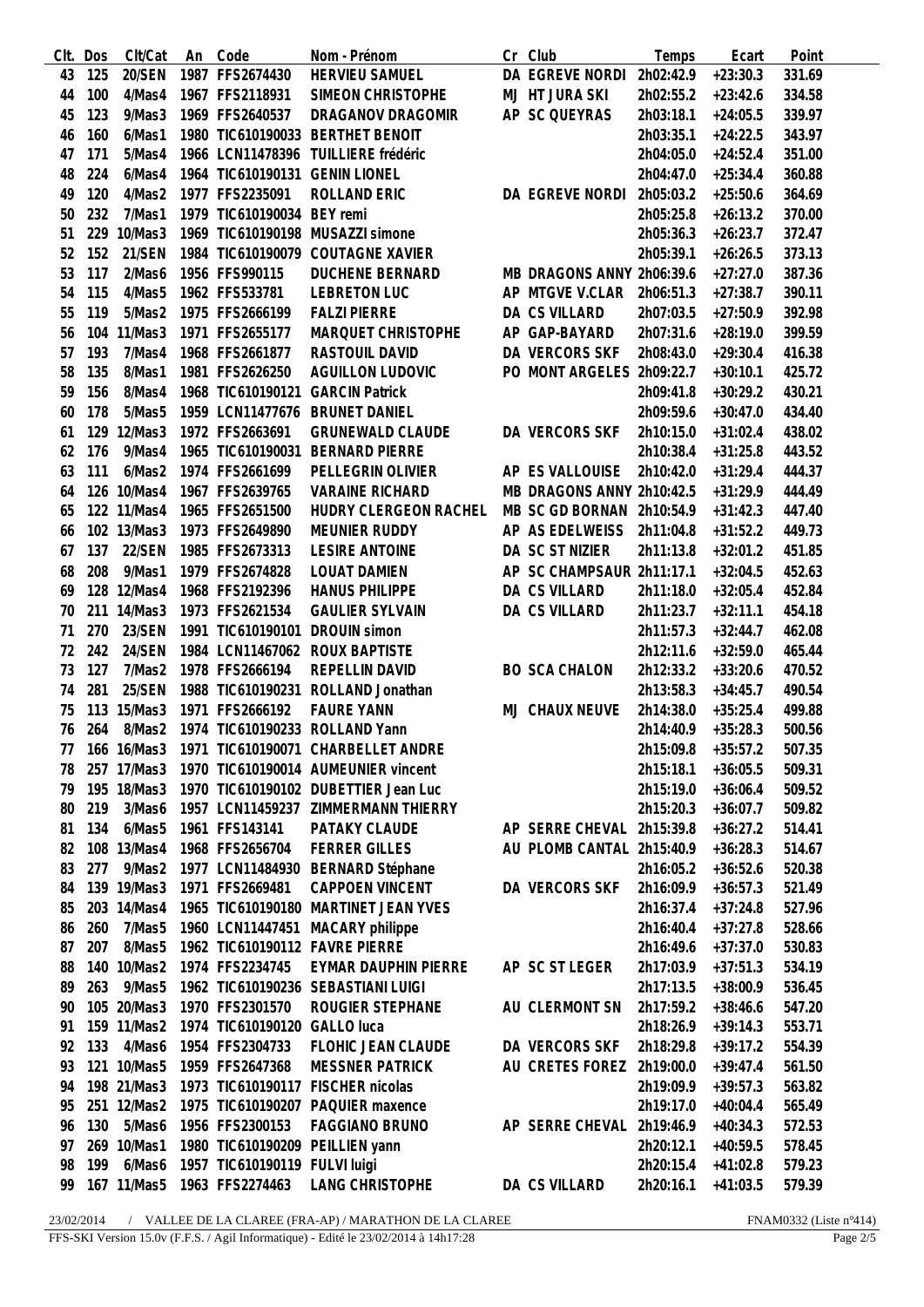| Clt. | Dos | Clt/Cat     | An Code                       | Nom - Prénom                         | Cr Club                   | Temps     | Ecart      | Point  |
|------|-----|-------------|-------------------------------|--------------------------------------|---------------------------|-----------|------------|--------|
| 43   | 125 | 20/SEN      | 1987 FFS2674430               | <b>HERVIEU SAMUEL</b>                | DA EGREVE NORDI           | 2h02:42.9 | $+23:30.3$ | 331.69 |
| 44   | 100 | 4/Mas4      | 1967 FFS2118931               | SIMEON CHRISTOPHE                    | MJ HT JURA SKI            | 2h02:55.2 | $+23:42.6$ | 334.58 |
| 45   | 123 | 9/Mas3      | 1969 FFS2640537               | DRAGANOV DRAGOMIR                    | AP SC QUEYRAS             | 2h03:18.1 | $+24:05.5$ | 339.97 |
| 46   | 160 | 6/Mas1      |                               | 1980 TIC610190033 BERTHET BENOIT     |                           | 2h03:35.1 | $+24:22.5$ | 343.97 |
| 47   | 171 | 5/Mas4      | 1966 LCN11478396              | TUILLIERE frédéric                   |                           | 2h04:05.0 | $+24:52.4$ | 351.00 |
| 48   | 224 | 6/Mas4      |                               | 1964 TIC610190131 GENIN LIONEL       |                           | 2h04:47.0 | $+25:34.4$ | 360.88 |
| 49   | 120 | 4/Mas2      | 1977 FFS2235091               | ROLLAND ERIC                         | DA EGREVE NORDI           | 2h05:03.2 | $+25:50.6$ | 364.69 |
| 50   | 232 | 7/Mas1      | 1979 TIC610190034 BEY remi    |                                      |                           | 2h05:25.8 | $+26:13.2$ | 370.00 |
| 51   | 229 | 10/Mas3     |                               | 1969 TIC610190198 MUSAZZI simone     |                           | 2h05:36.3 | $+26:23.7$ | 372.47 |
|      | 152 | 21/SEN      |                               | 1984 TIC610190079 COUTAGNE XAVIER    |                           |           |            | 373.13 |
| 52   |     |             |                               |                                      |                           | 2h05:39.1 | $+26:26.5$ |        |
| 53   | 117 | 2/Mas6      | 1956 FFS990115                | <b>DUCHENE BERNARD</b>               | MB DRAGONS ANNY 2h06:39.6 |           | $+27:27.0$ | 387.36 |
| 54   | 115 | 4/Mas5      | 1962 FFS533781                | <b>LEBRETON LUC</b>                  | AP MTGVE V.CLAR           | 2h06:51.3 | $+27:38.7$ | 390.11 |
| 55   | 119 | 5/Mas2      | 1975 FFS2666199               | <b>FALZI PIERRE</b>                  | DA CS VILLARD             | 2h07:03.5 | $+27:50.9$ | 392.98 |
| 56   | 104 | 11/Mas3     | 1971 FFS2655177               | MARQUET CHRISTOPHE                   | AP GAP-BAYARD             | 2h07:31.6 | $+28:19.0$ | 399.59 |
| 57   | 193 | 7/Mas4      | 1968 FFS2661877               | <b>RASTOUIL DAVID</b>                | DA VERCORS SKF            | 2h08:43.0 | $+29:30.4$ | 416.38 |
| 58   | 135 | 8/Mas1      | 1981 FFS2626250               | <b>AGUILLON LUDOVIC</b>              | PO MONT ARGELES 2h09:22.7 |           | $+30:10.1$ | 425.72 |
| 59   | 156 | 8/Mas4      | 1968 TIC610190121             | <b>GARCIN Patrick</b>                |                           | 2h09:41.8 | $+30:29.2$ | 430.21 |
| 60   | 178 | 5/Mas5      | 1959 LCN11477676              | <b>BRUNET DANIEL</b>                 |                           | 2h09:59.6 | $+30:47.0$ | 434.40 |
| 61   | 129 | 12/Mas3     | 1972 FFS2663691               | <b>GRUNEWALD CLAUDE</b>              | DA VERCORS SKF            | 2h10:15.0 | $+31:02.4$ | 438.02 |
| 62   | 176 | 9/Mas4      | 1965 TIC610190031             | <b>BERNARD PIERRE</b>                |                           | 2h10:38.4 | $+31:25.8$ | 443.52 |
| 63   | 111 | 6/Mas2      | 1974 FFS2661699               | PELLEGRIN OLIVIER                    | AP ES VALLOUISE           | 2h10:42.0 | $+31:29.4$ | 444.37 |
| 64   |     | 126 10/Mas4 | 1967 FFS2639765               | <b>VARAINE RICHARD</b>               | MB DRAGONS ANNY 2h10:42.5 |           | $+31:29.9$ | 444.49 |
| 65   |     | 122 11/Mas4 | 1965 FFS2651500               | HUDRY CLERGEON RACHEL                | MB SC GD BORNAN 2h10:54.9 |           | $+31:42.3$ | 447.40 |
| 66   |     | 102 13/Mas3 | 1973 FFS2649890               | MEUNIER RUDDY                        | AP AS EDELWEISS 2h11:04.8 |           | $+31:52.2$ | 449.73 |
| 67   | 137 | 22/SEN      | 1985 FFS2673313               | <b>LESIRE ANTOINE</b>                | DA SC ST NIZIER           | 2h11:13.8 | $+32:01.2$ | 451.85 |
| 68   | 208 | 9/Mas1      | 1979 FFS2674828               | LOUAT DAMIEN                         | AP SC CHAMPSAUR 2h11:17.1 |           | $+32:04.5$ | 452.63 |
| 69   |     | 128 12/Mas4 | 1968 FFS2192396               | <b>HANUS PHILIPPE</b>                | DA CS VILLARD             | 2h11:18.0 | $+32:05.4$ | 452.84 |
| 70   | 211 | 14/Mas3     | 1973 FFS2621534               | <b>GAULIER SYLVAIN</b>               | DA CS VILLARD             | 2h11:23.7 | $+32:11.1$ | 454.18 |
| 71   | 270 | 23/SEN      | 1991 TIC610190101             | <b>DROUIN</b> simon                  |                           | 2h11:57.3 | $+32:44.7$ | 462.08 |
| 72   | 242 | 24/SEN      | 1984 LCN11467062              | <b>ROUX BAPTISTE</b>                 |                           | 2h12:11.6 | $+32:59.0$ | 465.44 |
| 73   | 127 | 7/Mas2      | 1978 FFS2666194               | <b>REPELLIN DAVID</b>                | <b>BO SCA CHALON</b>      | 2h12:33.2 | $+33:20.6$ | 470.52 |
|      |     |             |                               |                                      |                           |           |            |        |
| 74   | 281 | 25/SEN      | 1988 TIC610190231             | ROLLAND Jonathan                     |                           | 2h13:58.3 | $+34:45.7$ | 490.54 |
| 75   | 113 | 15/Mas3     | 1971 FFS2666192               | <b>FAURE YANN</b>                    | MJ CHAUX NEUVE            | 2h14:38.0 | $+35:25.4$ | 499.88 |
| 76   | 264 | 8/Mas2      |                               | 1974 TIC610190233 ROLLAND Yann       |                           | 2h14:40.9 | $+35:28.3$ | 500.56 |
| 77   | 166 | 16/Mas3     |                               | 1971 TIC610190071 CHARBELLET ANDRE   |                           | 2h15:09.8 | $+35:57.2$ | 507.35 |
| 78   | 257 | 17/Mas3     |                               | 1970 TIC610190014 AUMEUNIER vincent  |                           | 2h15:18.1 | $+36:05.5$ | 509.31 |
| 79   |     | 195 18/Mas3 |                               | 1970 TIC610190102 DUBETTIER Jean Luc |                           | 2h15:19.0 | $+36:06.4$ | 509.52 |
| 80   | 219 | 3/Mas6      |                               | 1957 LCN11459237 ZIMMERMANN THIERRY  |                           | 2h15:20.3 | $+36:07.7$ | 509.82 |
| 81   | 134 | 6/Mas5      | 1961 FFS143141                | PATAKY CLAUDE                        | AP SERRE CHEVAL 2h15:39.8 |           | $+36:27.2$ | 514.41 |
| 82   |     | 108 13/Mas4 | 1968 FFS2656704               | <b>FERRER GILLES</b>                 | AU PLOMB CANTAL 2h15:40.9 |           | $+36:28.3$ | 514.67 |
| 83   | 277 | 9/Mas2      | 1977 LCN11484930              | <b>BERNARD Stéphane</b>              |                           | 2h16:05.2 | $+36:52.6$ | 520.38 |
| 84   |     | 139 19/Mas3 | 1971 FFS2669481               | <b>CAPPOEN VINCENT</b>               | DA VERCORS SKF            | 2h16:09.9 | $+36:57.3$ | 521.49 |
| 85   |     | 203 14/Mas4 |                               | 1965 TIC610190180 MARTINET JEAN YVES |                           | 2h16:37.4 | $+37:24.8$ | 527.96 |
| 86   | 260 | 7/Mas5      | 1960 LCN11447451              | MACARY philippe                      |                           | 2h16:40.4 | $+37:27.8$ | 528.66 |
| 87   | 207 | 8/Mas5      |                               | 1962 TIC610190112 FAVRE PIERRE       |                           | 2h16:49.6 | $+37:37.0$ | 530.83 |
| 88   | 140 | 10/Mas2     | 1974 FFS2234745               | EYMAR DAUPHIN PIERRE                 | AP SC ST LEGER            | 2h17:03.9 | $+37:51.3$ | 534.19 |
| 89   | 263 | 9/Mas5      |                               | 1962 TIC610190236 SEBASTIANI LUIGI   |                           | 2h17:13.5 | $+38:00.9$ | 536.45 |
| 90   |     | 105 20/Mas3 | 1970 FFS2301570               | ROUGIER STEPHANE                     | AU CLERMONT SN            | 2h17:59.2 | $+38:46.6$ | 547.20 |
| 91   |     | 159 11/Mas2 | 1974 TIC610190120 GALLO luca  |                                      |                           | 2h18:26.9 | $+39:14.3$ | 553.71 |
| 92   | 133 | 4/Mas6      | 1954 FFS2304733               | FLOHIC JEAN CLAUDE                   | DA VERCORS SKF            | 2h18:29.8 | $+39:17.2$ | 554.39 |
| 93   |     | 121 10/Mas5 | 1959 FFS2647368               | <b>MESSNER PATRICK</b>               | AU CRETES FOREZ 2h19:00.0 |           | $+39:47.4$ | 561.50 |
| 94   |     | 198 21/Mas3 | 1973 TIC610190117             | <b>FISCHER nicolas</b>               |                           | 2h19:09.9 | $+39:57.3$ | 563.82 |
| 95   |     | 251 12/Mas2 |                               | 1975 TIC610190207 PAQUIER maxence    |                           | 2h19:17.0 | $+40:04.4$ | 565.49 |
| 96   | 130 | 5/Mas6      | 1956 FFS2300153               | FAGGIANO BRUNO                       | AP SERRE CHEVAL 2h19:46.9 |           | $+40:34.3$ | 572.53 |
| 97   |     | 269 10/Mas1 |                               | 1980 TIC610190209 PEILLIEN yann      |                           | 2h20:12.1 | $+40:59.5$ | 578.45 |
| 98   | 199 | 6/Mas6      | 1957 TIC610190119 FULVI luigi |                                      |                           | 2h20:15.4 | $+41:02.8$ | 579.23 |
|      |     |             |                               |                                      |                           |           |            |        |
| 99   |     | 167 11/Mas5 | 1963 FFS2274463               | <b>LANG CHRISTOPHE</b>               | DA CS VILLARD             | 2h20:16.1 | $+41:03.5$ | 579.39 |

 $23/02/2014$  /  $\:$ VALLEE DE LA CLAREE (FRA-AP) / MARATHON DE LA CLAREE FFS-SKI Version 15.0v (F.F.S. / Agil Informatique) - Edité le  $23/02/2014$  à  $14\mathrm{h}17:28$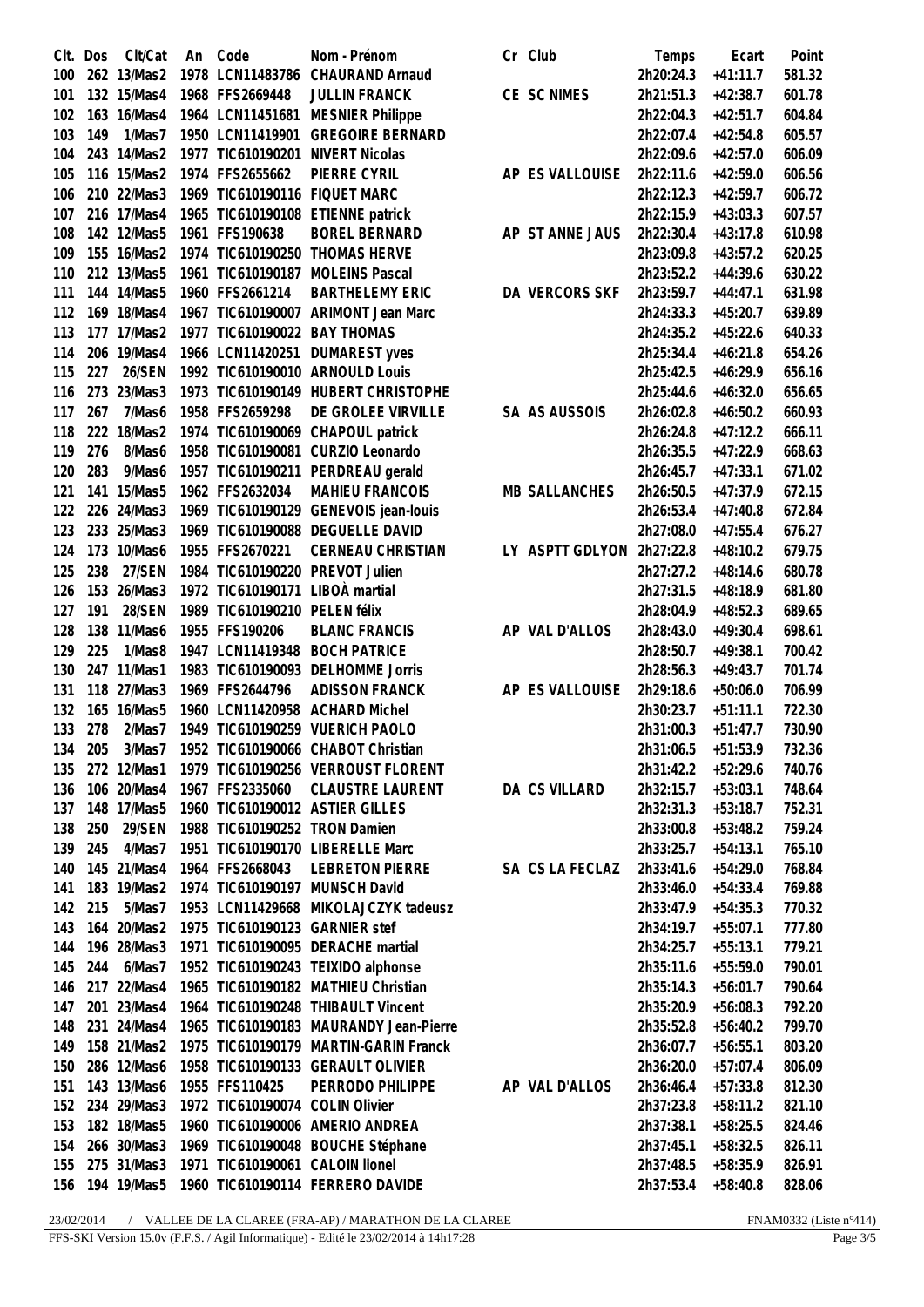| CIt. | Dos | Clt/Cat     | An | Code                            | Nom - Prénom                           | Cr Club              | Temps     | Ecart      | Point  |
|------|-----|-------------|----|---------------------------------|----------------------------------------|----------------------|-----------|------------|--------|
| 100  |     | 262 13/Mas2 |    | 1978 LCN11483786                | <b>CHAURAND Arnaud</b>                 |                      | 2h20:24.3 | $+41:11.7$ | 581.32 |
| 101  |     | 132 15/Mas4 |    | 1968 FFS2669448                 | <b>JULLIN FRANCK</b>                   | CE SC NIMES          | 2h21:51.3 | $+42:38.7$ | 601.78 |
| 102  |     | 163 16/Mas4 |    | 1964 LCN11451681                | <b>MESNIER Philippe</b>                |                      | 2h22:04.3 | $+42:51.7$ | 604.84 |
| 103  | 149 | 1/Mas7      |    | 1950 LCN11419901                | <b>GREGOIRE BERNARD</b>                |                      | 2h22:07.4 | $+42:54.8$ | 605.57 |
| 104  |     | 243 14/Mas2 |    |                                 | 1977 TIC610190201 NIVERT Nicolas       |                      | 2h22:09.6 | $+42:57.0$ | 606.09 |
| 105  |     | 116 15/Mas2 |    | 1974 FFS2655662                 | PIERRE CYRIL                           | AP ES VALLOUISE      | 2h22:11.6 | $+42:59.0$ | 606.56 |
| 106  |     | 210 22/Mas3 |    |                                 | 1969 TIC610190116 FIQUET MARC          |                      | 2h22:12.3 | $+42:59.7$ | 606.72 |
|      |     | 216 17/Mas4 |    |                                 | 1965 TIC610190108 ETIENNE patrick      |                      |           |            |        |
| 107  |     |             |    |                                 |                                        |                      | 2h22:15.9 | $+43:03.3$ | 607.57 |
| 108  |     | 142 12/Mas5 |    | 1961 FFS190638                  | <b>BOREL BERNARD</b>                   | AP ST ANNE JAUS      | 2h22:30.4 | $+43:17.8$ | 610.98 |
| 109  |     | 155 16/Mas2 |    |                                 | 1974 TIC610190250 THOMAS HERVE         |                      | 2h23:09.8 | $+43:57.2$ | 620.25 |
| 110  |     | 212 13/Mas5 |    |                                 | 1961 TIC610190187 MOLEINS Pascal       |                      | 2h23:52.2 | $+44:39.6$ | 630.22 |
| 111  |     | 144 14/Mas5 |    | 1960 FFS2661214                 | <b>BARTHELEMY ERIC</b>                 | DA VERCORS SKF       | 2h23:59.7 | $+44:47.1$ | 631.98 |
| 112  |     | 169 18/Mas4 |    |                                 | 1967 TIC610190007 ARIMONT Jean Marc    |                      | 2h24:33.3 | $+45:20.7$ | 639.89 |
| 113  |     | 177 17/Mas2 |    | 1977 TIC610190022 BAY THOMAS    |                                        |                      | 2h24:35.2 | $+45:22.6$ | 640.33 |
| 114  |     | 206 19/Mas4 |    |                                 | 1966 LCN11420251 DUMAREST yves         |                      | 2h25:34.4 | $+46:21.8$ | 654.26 |
| 115  | 227 | 26/SEN      |    |                                 | 1992 TIC610190010 ARNOULD Louis        |                      | 2h25:42.5 | $+46:29.9$ | 656.16 |
| 116  |     | 273 23/Mas3 |    |                                 | 1973 TIC610190149 HUBERT CHRISTOPHE    |                      | 2h25:44.6 | $+46:32.0$ | 656.65 |
| 117  | 267 | 7/Mas6      |    | 1958 FFS2659298                 | DE GROLEE VIRVILLE                     | SA AS AUSSOIS        | 2h26:02.8 | $+46:50.2$ | 660.93 |
| 118  |     | 222 18/Mas2 |    |                                 | 1974 TIC610190069 CHAPOUL patrick      |                      | 2h26:24.8 | $+47:12.2$ | 666.11 |
| 119  | 276 | 8/Mas6      |    |                                 | 1958 TIC610190081 CURZIO Leonardo      |                      | 2h26:35.5 | $+47:22.9$ | 668.63 |
| 120  | 283 | 9/Mas6      |    |                                 | 1957 TIC610190211 PERDREAU gerald      |                      | 2h26:45.7 | $+47:33.1$ | 671.02 |
| 121  | 141 | 15/Mas5     |    | 1962 FFS2632034                 | <b>MAHIEU FRANCOIS</b>                 | <b>MB SALLANCHES</b> | 2h26:50.5 | $+47:37.9$ | 672.15 |
| 122  |     | 226 24/Mas3 |    |                                 | 1969 TIC610190129 GENEVOIS jean-louis  |                      | 2h26:53.4 | $+47:40.8$ | 672.84 |
| 123  |     | 233 25/Mas3 |    |                                 | 1969 TIC610190088 DEGUELLE DAVID       |                      |           |            |        |
|      |     |             |    |                                 |                                        |                      | 2h27:08.0 | $+47:55.4$ | 676.27 |
| 124  |     | 173 10/Mas6 |    | 1955 FFS2670221                 | CERNEAU CHRISTIAN                      | LY ASPTT GDLYON      | 2h27:22.8 | $+48:10.2$ | 679.75 |
| 125  | 238 | 27/SEN      |    |                                 | 1984 TIC610190220 PREVOT Julien        |                      | 2h27:27.2 | $+48:14.6$ | 680.78 |
| 126  |     | 153 26/Mas3 |    | 1972 TIC610190171 LIBOÀ martial |                                        |                      | 2h27:31.5 | $+48:18.9$ | 681.80 |
| 127  | 191 | 28/SEN      |    | 1989 TIC610190210 PELEN félix   |                                        |                      | 2h28:04.9 | $+48:52.3$ | 689.65 |
| 128  | 138 | 11/Mas6     |    | 1955 FFS190206                  | <b>BLANC FRANCIS</b>                   | AP VAL D'ALLOS       | 2h28:43.0 | $+49:30.4$ | 698.61 |
| 129  | 225 | 1/Mas8      |    |                                 | 1947 LCN11419348 BOCH PATRICE          |                      | 2h28:50.7 | $+49:38.1$ | 700.42 |
| 130  |     | 247 11/Mas1 |    |                                 | 1983 TIC610190093 DELHOMME Jorris      |                      | 2h28:56.3 | $+49:43.7$ | 701.74 |
| 131  |     | 118 27/Mas3 |    | 1969 FFS2644796                 | <b>ADISSON FRANCK</b>                  | AP ES VALLOUISE      | 2h29:18.6 | $+50:06.0$ | 706.99 |
| 132  |     | 165 16/Mas5 |    |                                 | 1960 LCN11420958 ACHARD Michel         |                      | 2h30:23.7 | $+51:11.1$ | 722.30 |
| 133  | 278 | 2/Mas7      |    |                                 | 1949 TIC610190259 VUERICH PAOLO        |                      | 2h31:00.3 | $+51:47.7$ | 730.90 |
| 134  | 205 | 3/Mas7      |    |                                 | 1952 TIC610190066 CHABOT Christian     |                      | 2h31:06.5 | $+51:53.9$ | 732.36 |
| 135  |     | 272 12/Mas1 |    |                                 | 1979 TIC610190256 VERROUST FLORENT     |                      | 2h31:42.2 | $+52:29.6$ | 740.76 |
| 136  |     | 106 20/Mas4 |    | 1967 FFS2335060                 | <b>CLAUSTRE LAURENT</b>                | DA CS VILLARD        | 2h32:15.7 | $+53:03.1$ | 748.64 |
| 137  |     | 148 17/Mas5 |    |                                 | 1960 TIC610190012 ASTIER GILLES        |                      | 2h32:31.3 | $+53:18.7$ | 752.31 |
| 138  | 250 | 29/SEN      |    | 1988 TIC610190252 TRON Damien   |                                        |                      | 2h33:00.8 | $+53:48.2$ | 759.24 |
| 139  | 245 | 4/Mas7      |    |                                 | 1951 TIC610190170 LIBERELLE Marc       |                      | 2h33:25.7 | $+54:13.1$ | 765.10 |
| 140  |     | 145 21/Mas4 |    | 1964 FFS2668043                 | <b>LEBRETON PIERRE</b>                 | SA CS LA FECLAZ      | 2h33:41.6 | $+54:29.0$ | 768.84 |
| 141  |     | 183 19/Mas2 |    |                                 | 1974 TIC610190197 MUNSCH David         |                      | 2h33:46.0 | $+54:33.4$ | 769.88 |
| 142  | 215 | 5/Mas7      |    |                                 | 1953 LCN11429668 MIKOLAJCZYK tadeusz   |                      | 2h33:47.9 | $+54:35.3$ | 770.32 |
| 143  |     | 164 20/Mas2 |    | 1975 TIC610190123 GARNIER stef  |                                        |                      | 2h34:19.7 | $+55:07.1$ | 777.80 |
|      |     |             |    |                                 |                                        |                      |           |            |        |
| 144  |     | 196 28/Mas3 |    |                                 | 1971 TIC610190095 DERACHE martial      |                      | 2h34:25.7 | $+55:13.1$ | 779.21 |
| 145  | 244 | 6/Mas7      |    |                                 | 1952 TIC610190243 TEIXIDO alphonse     |                      | 2h35:11.6 | $+55:59.0$ | 790.01 |
| 146  |     | 217 22/Mas4 |    |                                 | 1965 TIC610190182 MATHIEU Christian    |                      | 2h35:14.3 | $+56:01.7$ | 790.64 |
| 147  |     | 201 23/Mas4 |    |                                 | 1964 TIC610190248 THIBAULT Vincent     |                      | 2h35:20.9 | $+56:08.3$ | 792.20 |
| 148  |     | 231 24/Mas4 |    |                                 | 1965 TIC610190183 MAURANDY Jean-Pierre |                      | 2h35:52.8 | $+56:40.2$ | 799.70 |
| 149  |     | 158 21/Mas2 |    |                                 | 1975 TIC610190179 MARTIN-GARIN Franck  |                      | 2h36:07.7 | $+56:55.1$ | 803.20 |
| 150  |     | 286 12/Mas6 |    |                                 | 1958 TIC610190133 GERAULT OLIVIER      |                      | 2h36:20.0 | $+57:07.4$ | 806.09 |
| 151  |     | 143 13/Mas6 |    | 1955 FFS110425                  | PERRODO PHILIPPE                       | AP VAL D'ALLOS       | 2h36:46.4 | $+57:33.8$ | 812.30 |
| 152  |     | 234 29/Mas3 |    | 1972 TIC610190074 COLIN Olivier |                                        |                      | 2h37:23.8 | $+58:11.2$ | 821.10 |
| 153  |     | 182 18/Mas5 |    |                                 | 1960 TIC610190006 AMERIO ANDREA        |                      | 2h37:38.1 | $+58:25.5$ | 824.46 |
| 154  |     | 266 30/Mas3 |    |                                 | 1969 TIC610190048 BOUCHE Stéphane      |                      | 2h37:45.1 | $+58:32.5$ | 826.11 |
| 155  |     | 275 31/Mas3 |    | 1971 TIC610190061 CALOIN lionel |                                        |                      | 2h37:48.5 | $+58:35.9$ | 826.91 |
| 156  |     | 194 19/Mas5 |    |                                 | 1960 TIC610190114 FERRERO DAVIDE       |                      | 2h37:53.4 | $+58:40.8$ | 828.06 |
|      |     |             |    |                                 |                                        |                      |           |            |        |

 $23/02/2014$  /  $\:$ VALLEE DE LA CLAREE (FRA-AP) / MARATHON DE LA CLAREE FFS-SKI Version 15.0v (F.F.S. / Agil Informatique) - Edité le  $23/02/2014$  à  $14\mathrm{h}17:28$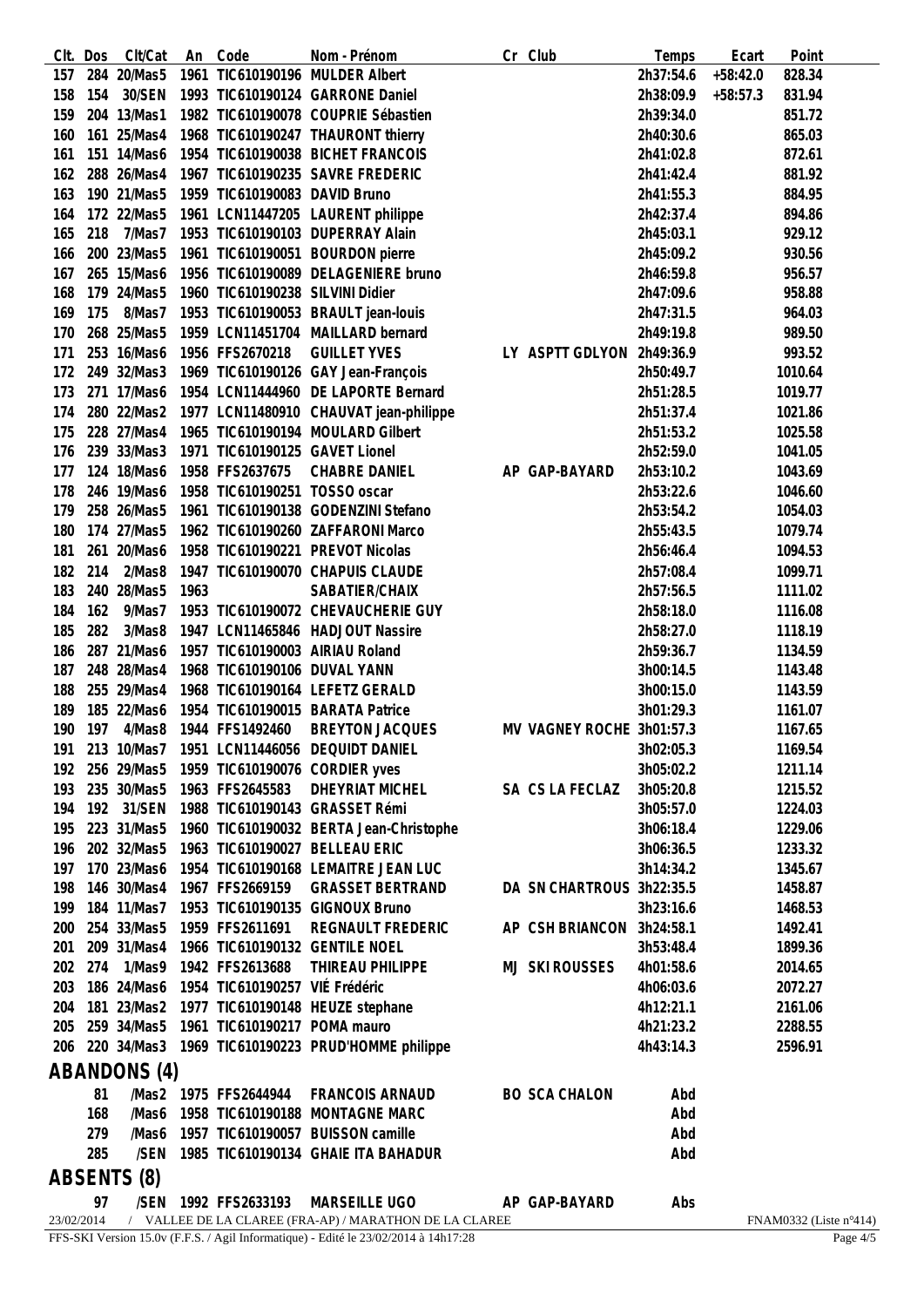| CIt.       | Dos | Clt/Cat      | An   | Code                             | Nom - Prénom                                                                        | Cr Club                   | Temps     | Ecart      | Point                  |
|------------|-----|--------------|------|----------------------------------|-------------------------------------------------------------------------------------|---------------------------|-----------|------------|------------------------|
| 157        |     | 284 20/Mas5  |      |                                  | 1961 TIC610190196 MULDER Albert                                                     |                           | 2h37:54.6 | $+58:42.0$ | 828.34                 |
| 158        | 154 | 30/SEN       |      |                                  | 1993 TIC610190124 GARRONE Daniel                                                    |                           | 2h38:09.9 | $+58:57.3$ | 831.94                 |
| 159        |     | 204 13/Mas1  |      |                                  | 1982 TIC610190078 COUPRIE Sébastien                                                 |                           | 2h39:34.0 |            | 851.72                 |
| 160        |     | 161 25/Mas4  |      |                                  | 1968 TIC610190247 THAURONT thierry                                                  |                           | 2h40:30.6 |            | 865.03                 |
| 161        |     | 151 14/Mas6  |      |                                  | 1954 TIC610190038 BICHET FRANCOIS                                                   |                           | 2h41:02.8 |            | 872.61                 |
| 162        |     | 288 26/Mas4  |      |                                  | 1967 TIC610190235 SAVRE FREDERIC                                                    |                           | 2h41:42.4 |            | 881.92                 |
| 163        |     | 190 21/Mas5  |      | 1959 TIC610190083 DAVID Bruno    |                                                                                     |                           | 2h41:55.3 |            | 884.95                 |
| 164        |     | 172 22/Mas5  |      |                                  | 1961 LCN11447205 LAURENT philippe                                                   |                           | 2h42:37.4 |            | 894.86                 |
| 165        | 218 | 7/Mas7       |      |                                  | 1953 TIC610190103 DUPERRAY Alain                                                    |                           | 2h45:03.1 |            | 929.12                 |
| 166        |     | 200 23/Mas5  |      |                                  | 1961 TIC610190051 BOURDON pierre                                                    |                           | 2h45:09.2 |            | 930.56                 |
| 167        |     | 265 15/Mas6  |      |                                  | 1956 TIC610190089 DELAGENIERE bruno                                                 |                           | 2h46:59.8 |            | 956.57                 |
| 168        |     | 179 24/Mas5  |      | 1960 TIC610190238 SILVINI Didier |                                                                                     |                           | 2h47:09.6 |            | 958.88                 |
| 169        | 175 | 8/Mas7       |      |                                  | 1953 TIC610190053 BRAULT jean-louis                                                 |                           | 2h47:31.5 |            | 964.03                 |
| 170        |     | 268 25/Mas5  |      |                                  | 1959 LCN11451704 MAILLARD bernard                                                   |                           | 2h49:19.8 |            | 989.50                 |
| 171        |     | 253 16/Mas6  |      | 1956 FFS2670218                  | <b>GUILLET YVES</b>                                                                 |                           |           |            |                        |
|            |     |              |      |                                  |                                                                                     | LY ASPTT GDLYON           | 2h49:36.9 |            | 993.52                 |
| 172        |     | 249 32/Mas3  |      |                                  | 1969 TIC610190126 GAY Jean-François                                                 |                           | 2h50:49.7 |            | 1010.64                |
| 173        |     | 271 17/Mas6  |      |                                  | 1954 LCN11444960 DE LAPORTE Bernard                                                 |                           | 2h51:28.5 |            | 1019.77                |
| 174        |     | 280 22/Mas2  |      |                                  | 1977 LCN11480910 CHAUVAT jean-philippe                                              |                           | 2h51:37.4 |            | 1021.86                |
| 175        |     | 228 27/Mas4  |      |                                  | 1965 TIC610190194 MOULARD Gilbert                                                   |                           | 2h51:53.2 |            | 1025.58                |
| 176        |     | 239 33/Mas3  |      | 1971 TIC610190125 GAVET Lionel   |                                                                                     |                           | 2h52:59.0 |            | 1041.05                |
| 177        |     | 124 18/Mas6  |      | 1958 FFS2637675                  | CHABRE DANIEL                                                                       | AP GAP-BAYARD             | 2h53:10.2 |            | 1043.69                |
| 178        |     | 246 19/Mas6  |      | 1958 TIC610190251 TOSSO oscar    |                                                                                     |                           | 2h53:22.6 |            | 1046.60                |
| 179        |     | 258 26/Mas5  |      |                                  | 1961 TIC610190138 GODENZINI Stefano                                                 |                           | 2h53:54.2 |            | 1054.03                |
| 180        |     | 174 27/Mas5  |      |                                  | 1962 TIC610190260 ZAFFARONI Marco                                                   |                           | 2h55:43.5 |            | 1079.74                |
| 181        |     | 261 20/Mas6  |      |                                  | 1958 TIC610190221 PREVOT Nicolas                                                    |                           | 2h56:46.4 |            | 1094.53                |
| 182        | 214 | 2/Mas8       |      |                                  | 1947 TIC610190070 CHAPUIS CLAUDE                                                    |                           | 2h57:08.4 |            | 1099.71                |
| 183        |     | 240 28/Mas5  | 1963 |                                  | SABATIER/CHAIX                                                                      |                           | 2h57:56.5 |            | 1111.02                |
| 184        | 162 | 9/Mas7       |      |                                  | 1953 TIC610190072 CHEVAUCHERIE GUY                                                  |                           | 2h58:18.0 |            | 1116.08                |
| 185        | 282 | 3/Mas8       |      |                                  | 1947 LCN11465846 HADJOUT Nassire                                                    |                           | 2h58:27.0 |            | 1118.19                |
| 186        |     | 287 21/Mas6  |      |                                  | 1957 TIC610190003 AIRIAU Roland                                                     |                           | 2h59:36.7 |            | 1134.59                |
| 187        |     | 248 28/Mas4  |      | 1968 TIC610190106 DUVAL YANN     |                                                                                     |                           | 3h00:14.5 |            | 1143.48                |
| 188        |     | 255 29/Mas4  |      |                                  | 1968 TIC610190164 LEFETZ GERALD                                                     |                           | 3h00:15.0 |            | 1143.59                |
| 189        |     | 185 22/Mas6  |      |                                  | 1954 TIC610190015 BARATA Patrice                                                    |                           | 3h01:29.3 |            | 1161.07                |
| 190        | 197 | 4/Mas8       |      | 1944 FFS1492460                  | <b>BREYTON JACQUES</b>                                                              | MV VAGNEY ROCHE 3h01:57.3 |           |            | 1167.65                |
| 191        |     | 213 10/Mas7  |      |                                  | 1951 LCN11446056 DEQUIDT DANIEL                                                     |                           | 3h02:05.3 |            | 1169.54                |
| 192        |     | 256 29/Mas5  |      |                                  | 1959 TIC610190076 CORDIER yves                                                      |                           | 3h05:02.2 |            | 1211.14                |
| 193        |     | 235 30/Mas5  |      | 1963 FFS2645583                  | <b>DHEYRIAT MICHEL</b>                                                              | SA CS LA FECLAZ           | 3h05:20.8 |            | 1215.52                |
|            |     | 192 31/SEN   |      |                                  |                                                                                     |                           |           |            |                        |
| 194        |     |              |      |                                  | 1988 TIC610190143 GRASSET Rémi                                                      |                           | 3h05:57.0 |            | 1224.03                |
| 195        |     | 223 31/Mas5  |      |                                  | 1960 TIC610190032 BERTA Jean-Christophe                                             |                           | 3h06:18.4 |            | 1229.06                |
| 196        |     | 202 32/Mas5  |      |                                  | 1963 TIC610190027 BELLEAU ERIC                                                      |                           | 3h06:36.5 |            | 1233.32                |
| 197        |     | 170 23/Mas6  |      |                                  | 1954 TIC610190168 LEMAITRE JEAN LUC                                                 |                           | 3h14:34.2 |            | 1345.67                |
| 198        |     | 146 30/Mas4  |      | 1967 FFS2669159                  | <b>GRASSET BERTRAND</b>                                                             | DA SN CHARTROUS 3h22:35.5 |           |            | 1458.87                |
| 199        |     | 184 11/Mas7  |      |                                  | 1953 TIC610190135 GIGNOUX Bruno                                                     |                           | 3h23:16.6 |            | 1468.53                |
| 200        |     | 254 33/Mas5  |      | 1959 FFS2611691                  | <b>REGNAULT FREDERIC</b>                                                            | AP CSH BRIANCON           | 3h24:58.1 |            | 1492.41                |
| 201        |     | 209 31/Mas4  |      |                                  | 1966 TIC610190132 GENTILE NOEL                                                      |                           | 3h53:48.4 |            | 1899.36                |
| 202        |     | 274 1/Mas9   |      | 1942 FFS2613688                  | THIREAU PHILIPPE                                                                    | <b>MJ SKI ROUSSES</b>     | 4h01:58.6 |            | 2014.65                |
| 203        |     | 186 24/Mas6  |      | 1954 TIC610190257 VIÉ Frédéric   |                                                                                     |                           | 4h06:03.6 |            | 2072.27                |
| 204        |     | 181 23/Mas2  |      |                                  | 1977 TIC610190148 HEUZE stephane                                                    |                           | 4h12:21.1 |            | 2161.06                |
| 205        |     | 259 34/Mas5  |      | 1961 TIC610190217 POMA mauro     |                                                                                     |                           | 4h21:23.2 |            | 2288.55                |
| 206        |     | 220 34/Mas3  |      |                                  | 1969 TIC610190223 PRUD'HOMME philippe                                               |                           | 4h43:14.3 |            | 2596.91                |
|            |     | ABANDONS (4) |      |                                  |                                                                                     |                           |           |            |                        |
|            |     |              |      |                                  |                                                                                     |                           |           |            |                        |
|            | 81  |              |      | /Mas2 1975 FFS2644944            | <b>FRANCOIS ARNAUD</b>                                                              | <b>BO SCA CHALON</b>      | Abd       |            |                        |
|            | 168 | /Mas6        |      |                                  | 1958 TIC610190188 MONTAGNE MARC                                                     |                           | Abd       |            |                        |
|            | 279 | /Mas6        |      |                                  | 1957 TIC610190057 BUISSON camille                                                   |                           | Abd       |            |                        |
|            | 285 | /SEN         |      |                                  | 1985 TIC610190134 GHAIE ITA BAHADUR                                                 |                           | Abd       |            |                        |
|            |     | ABSENTS (8)  |      |                                  |                                                                                     |                           |           |            |                        |
| 23/02/2014 | 97  | /SEN         |      | 1992 FFS2633193                  | MARSEILLE UGO<br>/ VALLEE DE LA CLAREE (FRA-AP) / MARATHON DE LA CLAREE             | AP GAP-BAYARD             | Abs       |            | FNAM0332 (Liste n°414) |
|            |     |              |      |                                  | FFS-SKI Version 15.0v (F.F.S. / Agil Informatique) - Edité le 23/02/2014 à 14h17:28 |                           |           |            | Page $4/5$             |
|            |     |              |      |                                  |                                                                                     |                           |           |            |                        |